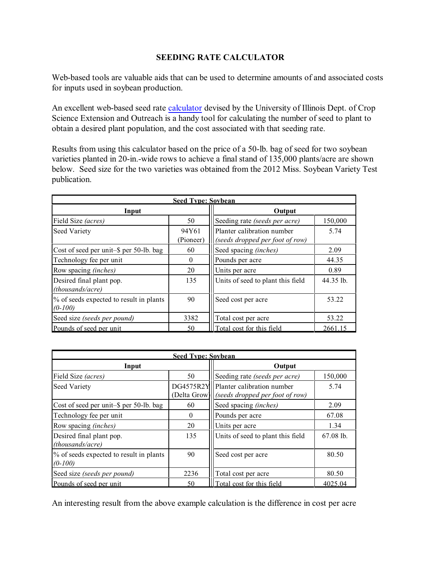## **SEEDING RATE CALCULATOR**

Web-based tools are valuable aids that can be used to determine amounts of and associated costs for inputs used in soybean production.

An excellent web-based seed rate [calculator](http://extension.cropsci.illinois.edu/fieldcrops/production/seed_drop/) devised by the University of Illinois Dept. of Crop Science Extension and Outreach is a handy tool for calculating the number of seed to plant to obtain a desired plant population, and the cost associated with that seeding rate.

Results from using this calculator based on the price of a 50-lb. bag of seed for two soybean varieties planted in 20-in.-wide rows to achieve a final stand of 135,000 plants/acre are shown below. Seed size for the two varieties was obtained from the 2012 Miss. Soybean Variety Test publication.

| <b>Seed Type: Soybean</b>                            |                    |                                                               |           |  |  |
|------------------------------------------------------|--------------------|---------------------------------------------------------------|-----------|--|--|
| Input                                                |                    | Output                                                        |           |  |  |
| Field Size (acres)                                   | 50                 | Seeding rate (seeds per acre)                                 | 150,000   |  |  |
| <b>Seed Variety</b>                                  | 94Y61<br>(Pioneer) | Planter calibration number<br>(seeds dropped per foot of row) | 5.74      |  |  |
| Cost of seed per unit-\$ per 50-lb. bag              | 60                 | Seed spacing (inches)                                         | 2.09      |  |  |
| Technology fee per unit                              | $\bf{0}$           | Pounds per acre                                               | 44.35     |  |  |
| Row spacing (inches)                                 | 20                 | Units per acre                                                | 0.89      |  |  |
| Desired final plant pop.<br><i>(thousands/acre)</i>  | 135                | Units of seed to plant this field                             | 44.35 lb. |  |  |
| % of seeds expected to result in plants<br>$(0-100)$ | 90                 | Seed cost per acre                                            | 53.22     |  |  |
| Seed size (seeds per pound)                          | 3382               | Total cost per acre                                           | 53.22     |  |  |
| Pounds of seed per unit                              | 50                 | Total cost for this field                                     | 2661.15   |  |  |

| <b>Seed Type: Sovbean</b>                            |              |                                                                          |             |  |  |  |
|------------------------------------------------------|--------------|--------------------------------------------------------------------------|-------------|--|--|--|
| Input                                                |              | Output                                                                   |             |  |  |  |
| Field Size (acres)                                   | 50           | Seeding rate (seeds per acre)                                            | 150,000     |  |  |  |
| Seed Variety                                         | (Delta Grow) | DG4575R2Y  Planter calibration number<br>(seeds dropped per foot of row) | 5.74        |  |  |  |
| Cost of seed per unit-\$ per 50-lb. bag              | 60           | Seed spacing (inches)                                                    | 2.09        |  |  |  |
| Technology fee per unit                              | $\theta$     | Pounds per acre                                                          | 67.08       |  |  |  |
| Row spacing <i>(inches)</i>                          | 20           | Units per acre                                                           | 1.34        |  |  |  |
| Desired final plant pop.<br>(thousands/acre)         | 135          | Units of seed to plant this field                                        | $67.08$ lb. |  |  |  |
| % of seeds expected to result in plants<br>$(0-100)$ | 90           | Seed cost per acre                                                       | 80.50       |  |  |  |
| Seed size (seeds per pound)                          | 2236         | Total cost per acre                                                      | 80.50       |  |  |  |
| Pounds of seed per unit                              | 50           | Total cost for this field                                                | 4025.04     |  |  |  |

An interesting result from the above example calculation is the difference in cost per acre